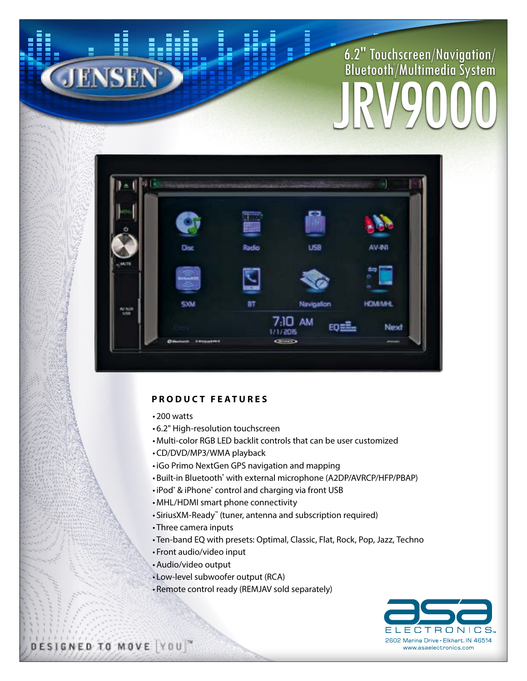## 6.2" Touchscreen/Navigation/ Bluetooth® /Multimedia System JRV9000



## **PRODUCT FEATURES**

- 200 watts
- 6.2" High-resolution touchscreen
- Multi-color RGB LED backlit controls that can be user customized
- CD/DVD/MP3/WMA playback
- iGo Primo NextGen GPS navigation and mapping
- Built-in Bluetooth® with external microphone (A2DP/AVRCP/HFP/PBAP)
- iPod® & iPhone® control and charging via front USB
- MHL/HDMI smart phone connectivity
- SiriusXM-Ready™ (tuner, antenna and subscription required)
- Three camera inputs
- Ten-band EQ with presets: Optimal, Classic, Flat, Rock, Pop, Jazz, Techno
- Front audio/video input
- •Audio/video output
- Low-level subwoofer output (RCA)
- Remote control ready (REMJAV sold separately)



DESIGNED TO MOVE YOU"

JENSEN